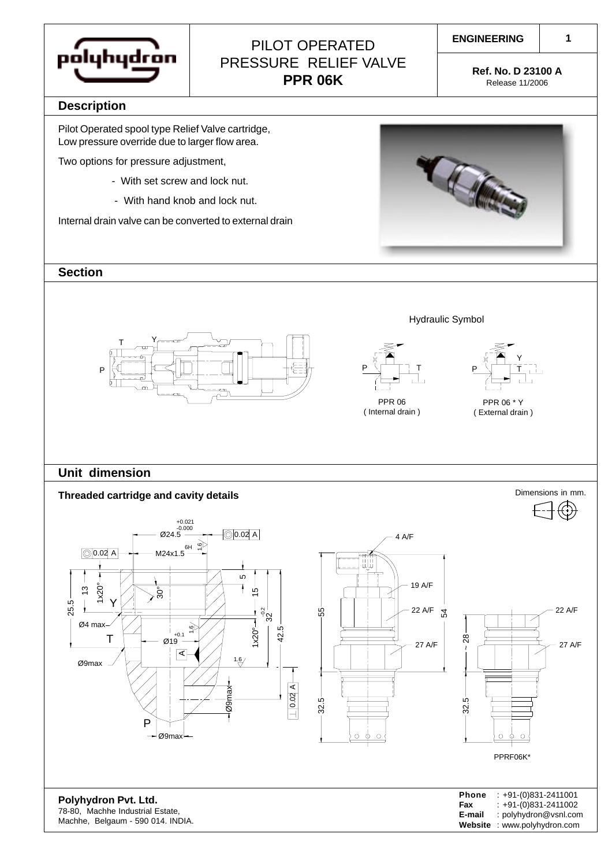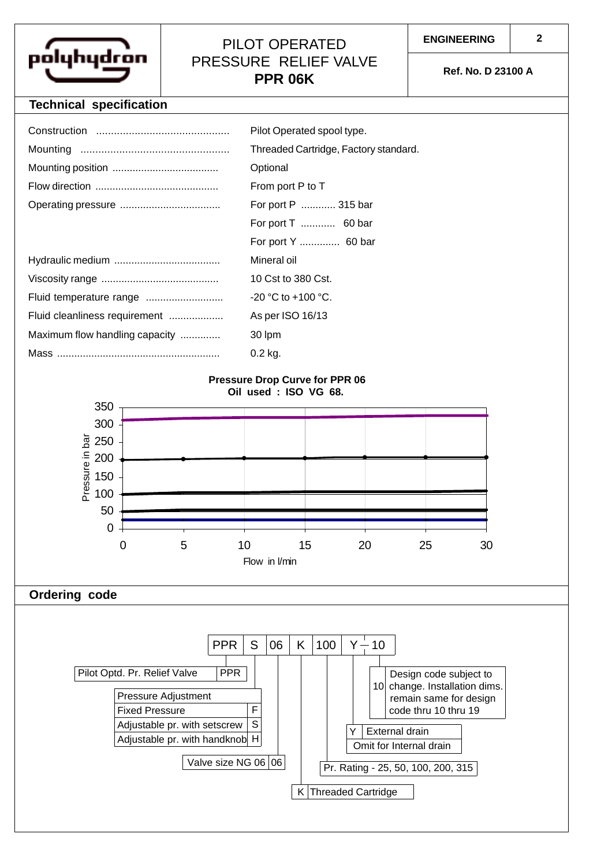

## PILOT OPERATED PRESSURE RELIEF VALVE **PPR 06K Ref. No. D 23100 A**

## **Technical specification**

|                                                               | Pilot Operated spool type.            |  |  |  |  |  |
|---------------------------------------------------------------|---------------------------------------|--|--|--|--|--|
|                                                               | Threaded Cartridge, Factory standard. |  |  |  |  |  |
|                                                               | Optional                              |  |  |  |  |  |
|                                                               | From port P to T                      |  |  |  |  |  |
|                                                               | For port P  315 bar                   |  |  |  |  |  |
|                                                               | For port T  60 bar                    |  |  |  |  |  |
|                                                               | For port Y  60 bar                    |  |  |  |  |  |
|                                                               | Mineral oil                           |  |  |  |  |  |
|                                                               | 10 Cst to 380 Cst.                    |  |  |  |  |  |
|                                                               | $-20$ °C to $+100$ °C.                |  |  |  |  |  |
| Fluid cleanliness requirement                                 | As per ISO 16/13                      |  |  |  |  |  |
| Maximum flow handling capacity                                | 30 lpm                                |  |  |  |  |  |
|                                                               | $0.2$ kg.                             |  |  |  |  |  |
| <b>Pressure Drop Curve for PPR 06</b><br>Oil used: ISO VG 68. |                                       |  |  |  |  |  |
| 350                                                           |                                       |  |  |  |  |  |
| 300                                                           |                                       |  |  |  |  |  |
| টু<br>250                                                     |                                       |  |  |  |  |  |



Valve size NG 06 06

 $K$  Threaded Cartridge

Pr. Rating - 25, 50, 100, 200, 315

Omit for Internal drain